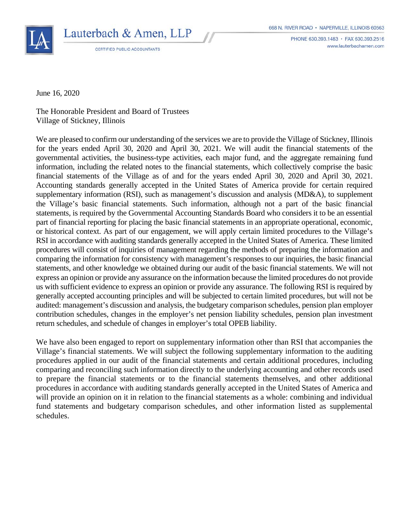

Lauterbach & Amen, LLP **CERTIFIED PUBLIC ACCOUNTANTS** 

PHONE 630.393.1483 · FAX 630.393.2516 www.lauterbachamen.com

June 16, 2020

The Honorable President and Board of Trustees Village of Stickney, Illinois

We are pleased to confirm our understanding of the services we are to provide the Village of Stickney, Illinois for the years ended April 30, 2020 and April 30, 2021. We will audit the financial statements of the governmental activities, the business-type activities, each major fund, and the aggregate remaining fund information, including the related notes to the financial statements, which collectively comprise the basic financial statements of the Village as of and for the years ended April 30, 2020 and April 30, 2021. Accounting standards generally accepted in the United States of America provide for certain required supplementary information (RSI), such as management's discussion and analysis (MD&A), to supplement the Village's basic financial statements. Such information, although not a part of the basic financial statements, is required by the Governmental Accounting Standards Board who considers it to be an essential part of financial reporting for placing the basic financial statements in an appropriate operational, economic, or historical context. As part of our engagement, we will apply certain limited procedures to the Village's RSI in accordance with auditing standards generally accepted in the United States of America. These limited procedures will consist of inquiries of management regarding the methods of preparing the information and comparing the information for consistency with management's responses to our inquiries, the basic financial statements, and other knowledge we obtained during our audit of the basic financial statements. We will not express an opinion or provide any assurance on the information because the limited procedures do not provide us with sufficient evidence to express an opinion or provide any assurance. The following RSI is required by generally accepted accounting principles and will be subjected to certain limited procedures, but will not be audited: management's discussion and analysis, the budgetary comparison schedules, pension plan employer contribution schedules, changes in the employer's net pension liability schedules, pension plan investment return schedules, and schedule of changes in employer's total OPEB liability.

We have also been engaged to report on supplementary information other than RSI that accompanies the Village's financial statements. We will subject the following supplementary information to the auditing procedures applied in our audit of the financial statements and certain additional procedures, including comparing and reconciling such information directly to the underlying accounting and other records used to prepare the financial statements or to the financial statements themselves, and other additional procedures in accordance with auditing standards generally accepted in the United States of America and will provide an opinion on it in relation to the financial statements as a whole: combining and individual fund statements and budgetary comparison schedules, and other information listed as supplemental schedules.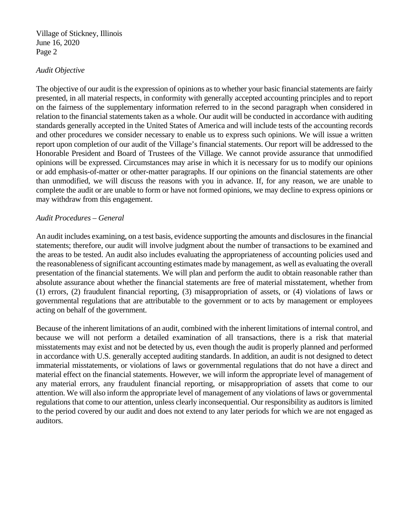### *Audit Objective*

The objective of our audit is the expression of opinions as to whether your basic financial statements are fairly presented, in all material respects, in conformity with generally accepted accounting principles and to report on the fairness of the supplementary information referred to in the second paragraph when considered in relation to the financial statements taken as a whole. Our audit will be conducted in accordance with auditing standards generally accepted in the United States of America and will include tests of the accounting records and other procedures we consider necessary to enable us to express such opinions. We will issue a written report upon completion of our audit of the Village's financial statements. Our report will be addressed to the Honorable President and Board of Trustees of the Village. We cannot provide assurance that unmodified opinions will be expressed. Circumstances may arise in which it is necessary for us to modify our opinions or add emphasis-of-matter or other-matter paragraphs. If our opinions on the financial statements are other than unmodified, we will discuss the reasons with you in advance. If, for any reason, we are unable to complete the audit or are unable to form or have not formed opinions, we may decline to express opinions or may withdraw from this engagement.

### *Audit Procedures – General*

An audit includes examining, on a test basis, evidence supporting the amounts and disclosures in the financial statements; therefore, our audit will involve judgment about the number of transactions to be examined and the areas to be tested. An audit also includes evaluating the appropriateness of accounting policies used and the reasonableness of significant accounting estimates made by management, as well as evaluating the overall presentation of the financial statements. We will plan and perform the audit to obtain reasonable rather than absolute assurance about whether the financial statements are free of material misstatement, whether from (1) errors, (2) fraudulent financial reporting, (3) misappropriation of assets, or (4) violations of laws or governmental regulations that are attributable to the government or to acts by management or employees acting on behalf of the government.

Because of the inherent limitations of an audit, combined with the inherent limitations of internal control, and because we will not perform a detailed examination of all transactions, there is a risk that material misstatements may exist and not be detected by us, even though the audit is properly planned and performed in accordance with U.S. generally accepted auditing standards. In addition, an audit is not designed to detect immaterial misstatements, or violations of laws or governmental regulations that do not have a direct and material effect on the financial statements. However, we will inform the appropriate level of management of any material errors, any fraudulent financial reporting, or misappropriation of assets that come to our attention. We will also inform the appropriate level of management of any violations of laws or governmental regulations that come to our attention, unless clearly inconsequential. Our responsibility as auditors is limited to the period covered by our audit and does not extend to any later periods for which we are not engaged as auditors.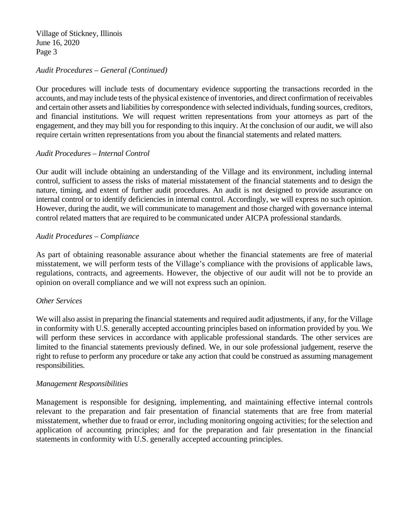# *Audit Procedures – General (Continued)*

Our procedures will include tests of documentary evidence supporting the transactions recorded in the accounts, and may include tests of the physical existence of inventories, and direct confirmation of receivables and certain other assets and liabilities by correspondence with selected individuals, funding sources, creditors, and financial institutions. We will request written representations from your attorneys as part of the engagement, and they may bill you for responding to this inquiry. At the conclusion of our audit, we will also require certain written representations from you about the financial statements and related matters.

### *Audit Procedures – Internal Control*

Our audit will include obtaining an understanding of the Village and its environment, including internal control, sufficient to assess the risks of material misstatement of the financial statements and to design the nature, timing, and extent of further audit procedures. An audit is not designed to provide assurance on internal control or to identify deficiencies in internal control. Accordingly, we will express no such opinion. However, during the audit, we will communicate to management and those charged with governance internal control related matters that are required to be communicated under AICPA professional standards.

# *Audit Procedures – Compliance*

As part of obtaining reasonable assurance about whether the financial statements are free of material misstatement, we will perform tests of the Village's compliance with the provisions of applicable laws, regulations, contracts, and agreements. However, the objective of our audit will not be to provide an opinion on overall compliance and we will not express such an opinion.

### *Other Services*

We will also assist in preparing the financial statements and required audit adjustments, if any, for the Village in conformity with U.S. generally accepted accounting principles based on information provided by you. We will perform these services in accordance with applicable professional standards. The other services are limited to the financial statements previously defined. We, in our sole professional judgement, reserve the right to refuse to perform any procedure or take any action that could be construed as assuming management responsibilities.

### *Management Responsibilities*

Management is responsible for designing, implementing, and maintaining effective internal controls relevant to the preparation and fair presentation of financial statements that are free from material misstatement, whether due to fraud or error, including monitoring ongoing activities; for the selection and application of accounting principles; and for the preparation and fair presentation in the financial statements in conformity with U.S. generally accepted accounting principles.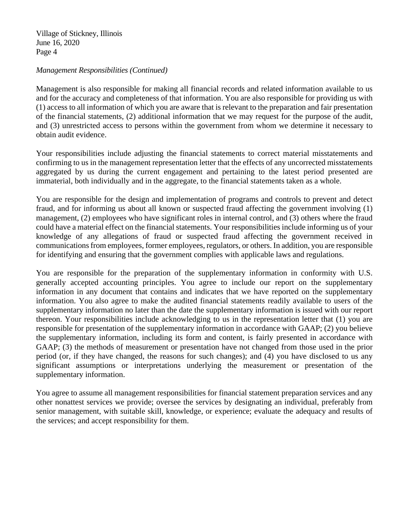# *Management Responsibilities (Continued)*

Management is also responsible for making all financial records and related information available to us and for the accuracy and completeness of that information. You are also responsible for providing us with (1) access to all information of which you are aware that is relevant to the preparation and fair presentation of the financial statements, (2) additional information that we may request for the purpose of the audit, and (3) unrestricted access to persons within the government from whom we determine it necessary to obtain audit evidence.

Your responsibilities include adjusting the financial statements to correct material misstatements and confirming to us in the management representation letter that the effects of any uncorrected misstatements aggregated by us during the current engagement and pertaining to the latest period presented are immaterial, both individually and in the aggregate, to the financial statements taken as a whole.

You are responsible for the design and implementation of programs and controls to prevent and detect fraud, and for informing us about all known or suspected fraud affecting the government involving (1) management, (2) employees who have significant roles in internal control, and (3) others where the fraud could have a material effect on the financial statements. Your responsibilities include informing us of your knowledge of any allegations of fraud or suspected fraud affecting the government received in communications from employees, former employees, regulators, or others. In addition, you are responsible for identifying and ensuring that the government complies with applicable laws and regulations.

You are responsible for the preparation of the supplementary information in conformity with U.S. generally accepted accounting principles. You agree to include our report on the supplementary information in any document that contains and indicates that we have reported on the supplementary information. You also agree to make the audited financial statements readily available to users of the supplementary information no later than the date the supplementary information is issued with our report thereon. Your responsibilities include acknowledging to us in the representation letter that (1) you are responsible for presentation of the supplementary information in accordance with GAAP; (2) you believe the supplementary information, including its form and content, is fairly presented in accordance with GAAP; (3) the methods of measurement or presentation have not changed from those used in the prior period (or, if they have changed, the reasons for such changes); and (4) you have disclosed to us any significant assumptions or interpretations underlying the measurement or presentation of the supplementary information.

You agree to assume all management responsibilities for financial statement preparation services and any other nonattest services we provide; oversee the services by designating an individual, preferably from senior management, with suitable skill, knowledge, or experience; evaluate the adequacy and results of the services; and accept responsibility for them.